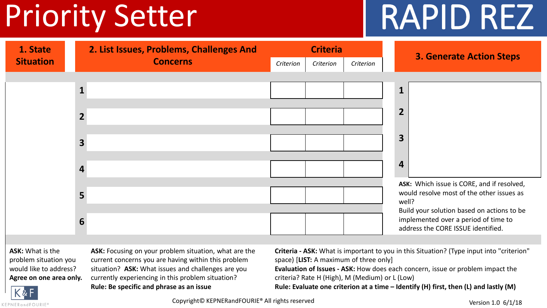# Priority Setter 1 RAPID REZ



**ASK:** What is the problem situation you would like to address? **Agree on one area only.** ASK: Focusing on your problem situation, what are the current concerns you are having within this problem situation? **ASK:** What issues and challenges are you currently experiencing in this problem situation? **Rule: Be specific and phrase as an issue**

**Criteria - ASK:** What is important to you in this Situation? (Type input into "criterion" space) [**LIST:** A maximum of three only]

**Evaluation of Issues - ASK:** How does each concern, issue or problem impact the criteria? Rate H (High), M (Medium) or L (Low)

**Rule: Evaluate one criterion at a time – Identify (H) first, then (L) and lastly (M)**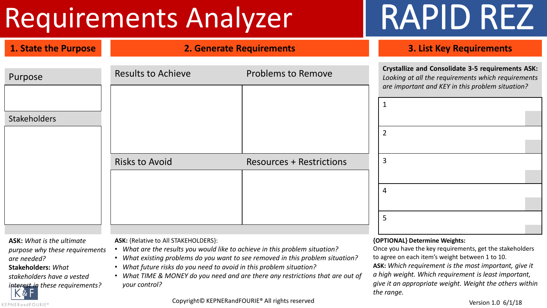## Requirements Analyzer | RAPID REZ

| 1. State the Purpose             |                                             | <b>2. Generate Requirements</b> | <b>3. List Key Requirements</b>                                                                                                                                    |
|----------------------------------|---------------------------------------------|---------------------------------|--------------------------------------------------------------------------------------------------------------------------------------------------------------------|
| Purpose                          | <b>Results to Achieve</b>                   | <b>Problems to Remove</b>       | <b>Crystallize and Consolidate 3-5 requirements ASK:</b><br>Looking at all the requirements which requirements<br>are important and KEY in this problem situation? |
| <b>Stakeholders</b>              |                                             |                                 | $\overline{2}$                                                                                                                                                     |
|                                  | <b>Risks to Avoid</b>                       | <b>Resources + Restrictions</b> | $\overline{3}$                                                                                                                                                     |
|                                  |                                             |                                 | $\overline{4}$<br>5                                                                                                                                                |
| <b>ASK:</b> What is the ultimate | <b>ASK:</b> {Relative to All STAKEHOLDERS}: |                                 | {OPTIONAL} Determine Weights:                                                                                                                                      |

*purpose why these requirements are needed?* 

**Stakeholders:** *What* 

KEPNERandFOURIE®

*stakeholders have a vested* 

*interest in these requirements?*

**ASK:** {Relative to All STAKEHOLDERS}:

- *What are the results you would like to achieve in this problem situation?*
- *What existing problems do you want to see removed in this problem situation?*
- *What future risks do you need to avoid in this problem situation?*
- *What TIME & MONEY do you need and are there any restrictions that are out of your control?*

Once you have the key requirements, get the stakeholders to agree on each item's weight between 1 to 10. **ASK:** *Which requirement is the most important, give it a high weight. Which requirement is least important, give it an appropriate weight. Weight the others within the range.*

Copyright© KEPNERandFOURIE® All rights reserved Version 1.0 6/1/18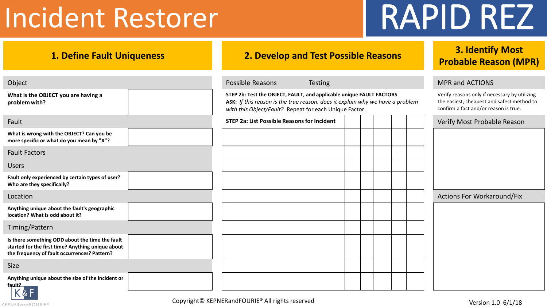## Incident Restorer | RAPID REZ

| <b>1. Define Fault Uniqueness</b>                                                                                                                    | 2. Develop and Test Possible Reasons                                                                                                                                                                            | 3. Identify Most<br><b>Probable Reason (MPR)</b> |                                                                                                                                      |  |  |
|------------------------------------------------------------------------------------------------------------------------------------------------------|-----------------------------------------------------------------------------------------------------------------------------------------------------------------------------------------------------------------|--------------------------------------------------|--------------------------------------------------------------------------------------------------------------------------------------|--|--|
| Object                                                                                                                                               | Possible Reasons<br><b>Testing</b>                                                                                                                                                                              |                                                  | <b>MPR and ACTIONS</b>                                                                                                               |  |  |
| What is the OBJECT you are having a<br>problem with?                                                                                                 | STEP 2b: Test the OBJECT, FAULT, and applicable unique FAULT FACTORS<br>ASK: If this reason is the true reason, does it explain why we have a problem<br>with this Object/Fault? Repeat for each Unique Factor. |                                                  | Verify reasons only if necessary by utilizing<br>the easiest, cheapest and safest method to<br>confirm a fact and/or reason is true. |  |  |
| Fault                                                                                                                                                | <b>STEP 2a: List Possible Reasons for Incident</b>                                                                                                                                                              |                                                  | Verify Most Probable Reason                                                                                                          |  |  |
| What is wrong with the OBJECT? Can you be<br>more specific or what do you mean by "X"?                                                               |                                                                                                                                                                                                                 |                                                  |                                                                                                                                      |  |  |
| <b>Fault Factors</b>                                                                                                                                 |                                                                                                                                                                                                                 |                                                  |                                                                                                                                      |  |  |
| <b>Users</b>                                                                                                                                         |                                                                                                                                                                                                                 |                                                  |                                                                                                                                      |  |  |
| Fault only experienced by certain types of user?<br>Who are they specifically?                                                                       |                                                                                                                                                                                                                 |                                                  |                                                                                                                                      |  |  |
| Location                                                                                                                                             |                                                                                                                                                                                                                 |                                                  | <b>Actions For Workaround/Fix</b>                                                                                                    |  |  |
| Anything unique about the fault's geographic<br>location? What is odd about it?                                                                      |                                                                                                                                                                                                                 |                                                  |                                                                                                                                      |  |  |
| Timing/Pattern                                                                                                                                       |                                                                                                                                                                                                                 |                                                  |                                                                                                                                      |  |  |
| Is there something ODD about the time the fault<br>started for the first time? Anything unique about<br>the frequency of fault occurrences? Pattern? |                                                                                                                                                                                                                 |                                                  |                                                                                                                                      |  |  |
| <b>Size</b>                                                                                                                                          |                                                                                                                                                                                                                 |                                                  |                                                                                                                                      |  |  |
| Anything unique about the size of the incident or<br>fault?<br>$\overline{V}$ o. E $\overline{V}$                                                    |                                                                                                                                                                                                                 |                                                  |                                                                                                                                      |  |  |

Copyright© KEPNERandFOURIE® All rights reserved Version 1.0 6/1/18

KEPNERandFOURIE®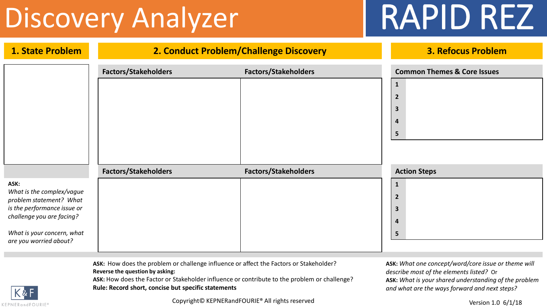## Discovery Analyzer RAPID REZ

| 1. State Problem                                                                                                                                                                 | 2. Conduct Problem/Challenge Discovery | <b>3. Refocus Problem</b>   |                                                                                                                 |
|----------------------------------------------------------------------------------------------------------------------------------------------------------------------------------|----------------------------------------|-----------------------------|-----------------------------------------------------------------------------------------------------------------|
|                                                                                                                                                                                  | <b>Factors/Stakeholders</b>            | <b>Factors/Stakeholders</b> | <b>Common Themes &amp; Core Issues</b><br>$\mathbf{1}$<br>$\overline{2}$<br>$\mathbf{3}$<br>4<br>$5\phantom{1}$ |
| ASK:<br>What is the complex/vague<br>problem statement? What<br>is the performance issue or<br>challenge you are facing?<br>What is your concern, what<br>are you worried about? | <b>Factors/Stakeholders</b>            | <b>Factors/Stakeholders</b> | <b>Action Steps</b><br>$\mathbf{1}$<br>$\overline{2}$<br>$\mathbf{3}$<br>4<br>$5\phantom{1}$                    |

**ASK:** How does the problem or challenge influence or affect the Factors or Stakeholder? **Reverse the question by asking:** 

**ASK:** How does the Factor or Stakeholder influence or contribute to the problem or challenge? **Rule: Record short, concise but specific statements**

**ASK:** *What one concept/word/core issue or theme will describe most of the elements listed?* Or **ASK:** *What is your shared understanding of the problem and what are the ways forward and next steps?*



Copyright© KEPNERandFOURIE® All rights reserved Version 1.0 6/1/18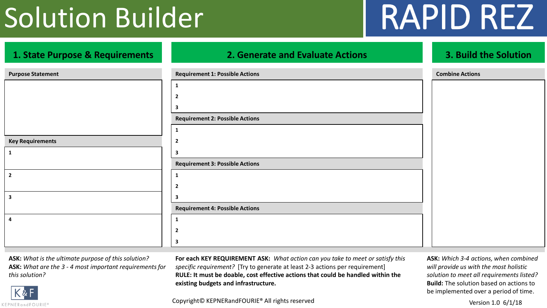## Solution Builder | RAPID REZ

| 1. State Purpose & Requirements | <b>2. Generate and Evaluate Actions</b> | 3. Build the Solution  |
|---------------------------------|-----------------------------------------|------------------------|
| <b>Purpose Statement</b>        | <b>Requirement 1: Possible Actions</b>  | <b>Combine Actions</b> |
|                                 | 1                                       |                        |
|                                 | $\mathbf{2}$                            |                        |
|                                 | 3                                       |                        |
|                                 | <b>Requirement 2: Possible Actions</b>  |                        |
|                                 | 1                                       |                        |
| <b>Key Requirements</b>         | 2                                       |                        |
| $\mathbf{1}$                    | 3                                       |                        |
|                                 | <b>Requirement 3: Possible Actions</b>  |                        |
| $\overline{2}$                  | 1                                       |                        |
|                                 | $\mathbf{2}$                            |                        |
| $\mathbf{3}$                    | 3                                       |                        |
|                                 | <b>Requirement 4: Possible Actions</b>  |                        |
| 4                               | 1                                       |                        |
|                                 | $\overline{2}$                          |                        |
|                                 | 3                                       |                        |

**ASK:** *What is the ultimate purpose of this solution?* **ASK:** *What are the 3 - 4 most important requirements for this solution?*

**For each KEY REQUIREMENT ASK:** *What action can you take to meet or satisfy this specific requirement?* [Try to generate at least 2-3 actions per requirement] **RULE: It must be doable, cost effective actions that could be handled within the existing budgets and infrastructure.**

**ASK:** *Which 3-4 actions, when combined will provide us with the most holistic solution to meet all requirements listed?*  **Build:** The solution based on actions to be implemented over a period of time.

KEPNERandFOURIE®

Copyright© KEPNERandFOURIE® All rights reserved Copyright© KEPNERandFOURIE® All rights reserved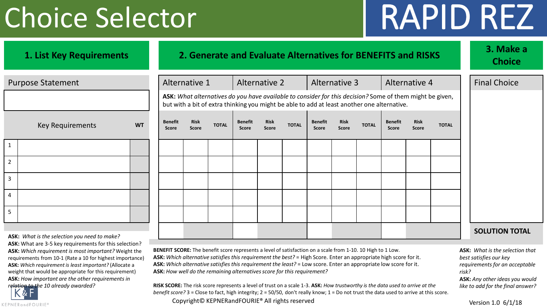# Choice Selector | RAPID REZ

| 1. List Key Requirements                                                                                                                                                                                                                                                                                                                                                                            | 2. Generate and Evaluate Alternatives for BENEFITS and RISKS |                                                                                                                                                                                                                                                                                                                                                                                                                                 |                             |                                                                                                                                                                                                         |                         |                             |               |                                |                             |              | 3. Make a<br><b>Choice</b>     |                             |                     |       |                                                                                                                                                               |
|-----------------------------------------------------------------------------------------------------------------------------------------------------------------------------------------------------------------------------------------------------------------------------------------------------------------------------------------------------------------------------------------------------|--------------------------------------------------------------|---------------------------------------------------------------------------------------------------------------------------------------------------------------------------------------------------------------------------------------------------------------------------------------------------------------------------------------------------------------------------------------------------------------------------------|-----------------------------|---------------------------------------------------------------------------------------------------------------------------------------------------------------------------------------------------------|-------------------------|-----------------------------|---------------|--------------------------------|-----------------------------|--------------|--------------------------------|-----------------------------|---------------------|-------|---------------------------------------------------------------------------------------------------------------------------------------------------------------|
| <b>Purpose Statement</b>                                                                                                                                                                                                                                                                                                                                                                            |                                                              | Alternative 1                                                                                                                                                                                                                                                                                                                                                                                                                   |                             |                                                                                                                                                                                                         | Alternative 2           |                             | Alternative 3 |                                | Alternative 4               |              |                                |                             | <b>Final Choice</b> |       |                                                                                                                                                               |
|                                                                                                                                                                                                                                                                                                                                                                                                     |                                                              |                                                                                                                                                                                                                                                                                                                                                                                                                                 |                             | ASK: What alternatives do you have available to consider for this decision? Some of them might be given,<br>but with a bit of extra thinking you might be able to add at least another one alternative. |                         |                             |               |                                |                             |              |                                |                             |                     |       |                                                                                                                                                               |
| <b>Key Requirements</b>                                                                                                                                                                                                                                                                                                                                                                             | <b>WT</b>                                                    | <b>Benefit</b><br><b>Score</b>                                                                                                                                                                                                                                                                                                                                                                                                  | <b>Risk</b><br><b>Score</b> | <b>TOTAL</b>                                                                                                                                                                                            | <b>Benefit</b><br>Score | <b>Risk</b><br><b>Score</b> | <b>TOTAL</b>  | <b>Benefit</b><br><b>Score</b> | <b>Risk</b><br><b>Score</b> | <b>TOTAL</b> | <b>Benefit</b><br><b>Score</b> | <b>Risk</b><br><b>Score</b> | <b>TOTAL</b>        |       |                                                                                                                                                               |
| $\mathbf{1}$                                                                                                                                                                                                                                                                                                                                                                                        |                                                              |                                                                                                                                                                                                                                                                                                                                                                                                                                 |                             |                                                                                                                                                                                                         |                         |                             |               |                                |                             |              |                                |                             |                     |       |                                                                                                                                                               |
| $\overline{2}$                                                                                                                                                                                                                                                                                                                                                                                      |                                                              |                                                                                                                                                                                                                                                                                                                                                                                                                                 |                             |                                                                                                                                                                                                         |                         |                             |               |                                |                             |              |                                |                             |                     |       |                                                                                                                                                               |
| 3                                                                                                                                                                                                                                                                                                                                                                                                   |                                                              |                                                                                                                                                                                                                                                                                                                                                                                                                                 |                             |                                                                                                                                                                                                         |                         |                             |               |                                |                             |              |                                |                             |                     |       |                                                                                                                                                               |
| 4                                                                                                                                                                                                                                                                                                                                                                                                   |                                                              |                                                                                                                                                                                                                                                                                                                                                                                                                                 |                             |                                                                                                                                                                                                         |                         |                             |               |                                |                             |              |                                |                             |                     |       |                                                                                                                                                               |
| 5                                                                                                                                                                                                                                                                                                                                                                                                   |                                                              |                                                                                                                                                                                                                                                                                                                                                                                                                                 |                             |                                                                                                                                                                                                         |                         |                             |               |                                |                             |              |                                |                             |                     |       |                                                                                                                                                               |
| ASK: What is the selection you need to make?<br>ASK: What are 3-5 key requirements for this selection?<br>ASK: Which requirement is most important? Weight the<br>requirements from 10-1 (Rate a 10 for highest importance)<br>ASK: Which requirement is least important? (Allocate a<br>weight that would be appropriate for this requirement)<br>ASK: How important are the other requirements in |                                                              | BENEFIT SCORE: The benefit score represents a level of satisfaction on a scale from 1-10. 10 High to 1 Low.<br>ASK: Which alternative satisfies this requirement the best? = High Score. Enter an appropriate high score for it.<br>ASK: Which alternative satisfies this requirement the least? = Low score. Enter an appropriate low score for it.<br>ASK: How well do the remaining alternatives score for this requirement? |                             |                                                                                                                                                                                                         |                         |                             |               |                                |                             |              |                                |                             |                     | risk? | <b>SOLUTION TOTAL</b><br><b>ASK:</b> What is the selection that<br>best satisfies our key<br>requirements for an acceptable<br>ASK: Any other ideas you would |
| relation to the 10 already awarded?<br>K & F                                                                                                                                                                                                                                                                                                                                                        |                                                              | RISK SCORE: The risk score represents a level of trust on a scale 1-3. ASK: How trustworthy is the data used to arrive at the<br>benefit score? 3 = Close to fact, high integrity; 2 = 50/50, don't really know; 1 = Do not trust the data used to arrive at this score.                                                                                                                                                        |                             |                                                                                                                                                                                                         |                         |                             |               |                                |                             |              |                                |                             |                     |       | like to add for the final answer?                                                                                                                             |

Copyright© KEPNERandFOURIE® All rights reserved Version 1.0 6/1/18

KEPNERandFOURIE®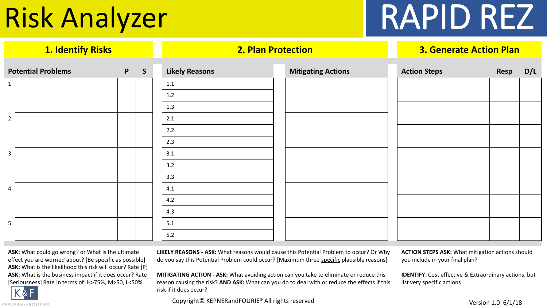# Risk Analyzer RAPID REZ

| <b>Potential Problems</b> | P | $\mathsf{S}$ |         | <b>Likely Reasons</b> | <b>Mitigating Actions</b> | <b>Action Steps</b> | Resp | D/L |
|---------------------------|---|--------------|---------|-----------------------|---------------------------|---------------------|------|-----|
| $\mathbf{1}$              |   |              | 1.1     |                       |                           |                     |      |     |
|                           |   |              | $1.2\,$ |                       |                           |                     |      |     |
|                           |   |              | 1.3     |                       |                           |                     |      |     |
| $\overline{2}$            |   |              | 2.1     |                       |                           |                     |      |     |
|                           |   |              | 2.2     |                       |                           |                     |      |     |
|                           |   |              | 2.3     |                       |                           |                     |      |     |
| $\overline{\mathbf{3}}$   |   |              | 3.1     |                       |                           |                     |      |     |
|                           |   |              | 3.2     |                       |                           |                     |      |     |
|                           |   |              | 3.3     |                       |                           |                     |      |     |
| 4                         |   |              | 4.1     |                       |                           |                     |      |     |
|                           |   |              | 4.2     |                       |                           |                     |      |     |
|                           |   |              | 4.3     |                       |                           |                     |      |     |
| $5\phantom{.}$            |   |              | 5.1     |                       |                           |                     |      |     |
|                           |   |              | 5.2     |                       |                           |                     |      |     |

**1. Identify Risks 2. Plan Protection 3. Generate Action Plan**

**ASK:** What could go wrong? or What is the ultimate effect you are worried about? [Be specific as possible] **ASK:** What is the likelihood this risk will occur? Rate [P] **ASK:** What is the business impact if it does occur? Rate [Seriousness] Rate in terms of: H>75%, M>50, L<50%

KEPNERandFOURIE®

**LIKELY REASONS - ASK:** What reasons would cause this Potential Problem to occur? Or Why do you say this Potential Problem could occur? [Maximum three specific plausible reasons]

**ACTION STEPS ASK:** What mitigation actions should you include in your final plan?

**IDENTIFY:** Cost effective & Extraordinary actions, but

list very specific actions

**MITIGATING ACTION - ASK:** What avoiding action can you take to eliminate or reduce this reason causing the risk? **AND ASK:** What can you do to deal with or reduce the effects if this risk if it does occur?

Copyright© KEPNERandFOURIE® All rights reserved Version 1.0 6/1/18